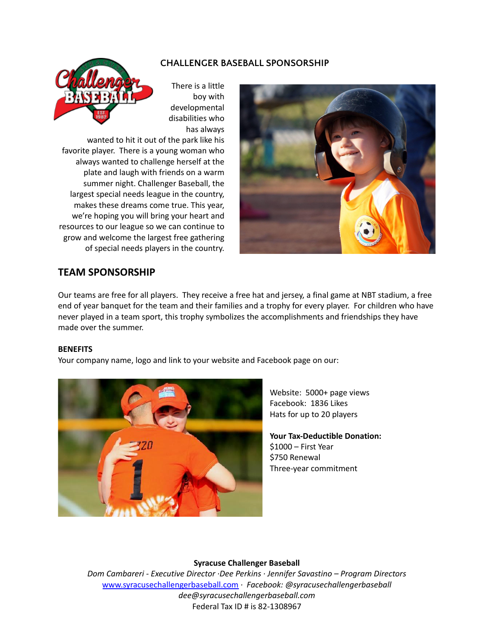## **CHALLENGER BASEBALL SPONSORSHIP**



There is a little boy with developmental disabilities who has always

wanted to hit it out of the park like his favorite player. There is a young woman who always wanted to challenge herself at the plate and laugh with friends on a warm summer night. Challenger Baseball, the largest special needs league in the country, makes these dreams come true. This year, we're hoping you will bring your heart and resources to our league so we can continue to grow and welcome the largest free gathering of special needs players in the country.



# **TEAM SPONSORSHIP**

Our teams are free for all players. They receive a free hat and jersey, a final game at NBT stadium, a free end of year banquet for the team and their families and a trophy for every player. For children who have never played in a team sport, this trophy symbolizes the accomplishments and friendships they have made over the summer.

### **BENEFITS**

Your company name, logo and link to your website and Facebook page on our:



Website: 5000+ page views Facebook: 1836 Likes Hats for up to 20 players

**Your Tax-Deductible Donation:** \$1000 – First Year \$750 Renewal Three-year commitment

## **Syracuse Challenger Baseball**

*Dom Cambareri - Executive Director ·Dee Perkins · Jennifer Savastino – Program Directors* [www.syracusechallengerbaseball.com](http://www.syracusechallengerbaseball.com) *· Facebook: @syracusechallengerbaseball dee@syracusechallengerbaseball.com* Federal Tax ID # is 82-1308967